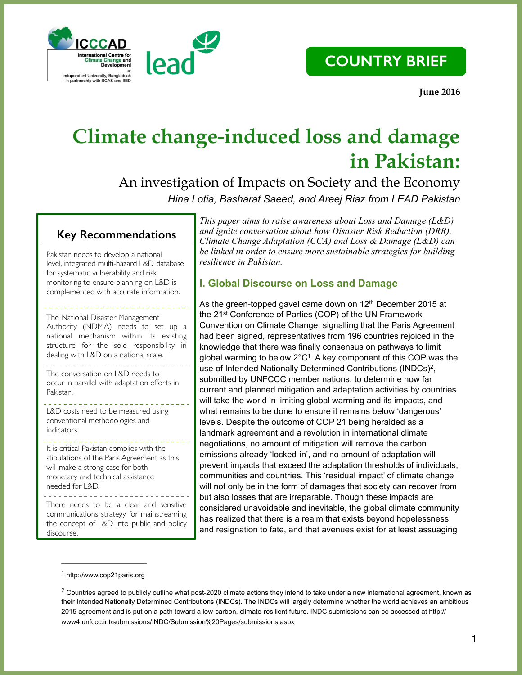



 **June 2016**

## **Climate change-induced loss and damage in Pakistan:**

An investigation of Impacts on Society and the Economy *Hina Lotia, Basharat Saeed, and Areej Riaz from LEAD Pakistan*

## **Key Recommendations**

Pakistan needs to develop a national level, integrated multi-hazard L&D database for systematic vulnerability and risk monitoring to ensure planning on L&D is complemented with accurate information.

The National Disaster Management Authority (NDMA) needs to set up a national mechanism within its existing structure for the sole responsibility in dealing with L&D on a national scale.

<u>. . . . . . . . . . . . . . . . .</u> The conversation on L&D needs to occur in parallel with adaptation efforts in Pakistan.

L&D costs need to be measured using conventional methodologies and indicators.

It is critical Pakistan complies with the stipulations of the Paris Agreement as this will make a strong case for both monetary and technical assistance needed for L&D.

There needs to be a clear and sensitive communications strategy for mainstreaming the concept of L&D into public and policy discourse.

*This paper aims to raise awareness about Loss and Damage (L&D) and ignite conversation about how Disaster Risk Reduction (DRR), Climate Change Adaptation (CCA) and Loss & Damage (L&D) can be linked in order to ensure more sustainable strategies for building resilience in Pakistan.* 

## **I. Global Discourse on Loss and Damage**

As the green-topped gavel came down on  $12<sup>th</sup>$  December 2015 at the 21st Conference of Parties (COP) of the UN Framework Convention on Climate Change, signalling that the Paris Agreement had been signed, representatives from 196 countries rejoiced in the knowledge that there was finally consensus on pathways to limit global warming to below  $2^{\circ}C^{1}$ . A key component of this COP was the use of Intended Nationally Determined Contributions (INDCs)<sup>2</sup>, submitted by UNFCCC member nations, to determine how far current and planned mitigation and adaptation activities by countries will take the world in limiting global warming and its impacts, and what remains to be done to ensure it remains below 'dangerous' levels. Despite the outcome of COP 21 being heralded as a landmark agreement and a revolution in international climate negotiations, no amount of mitigation will remove the carbon emissions already 'locked-in', and no amount of adaptation will prevent impacts that exceed the adaptation thresholds of individuals, communities and countries. This 'residual impact' of climate change will not only be in the form of damages that society can recover from but also losses that are irreparable. Though these impacts are considered unavoidable and inevitable, the global climate community has realized that there is a realm that exists beyond hopelessness and resignation to fate, and that avenues exist for at least assuaging

http://www.cop21paris.org <sup>1</sup>

 $2$  Countries agreed to publicly outline what post-2020 climate actions they intend to take under a new international agreement, known as their Intended Nationally Determined Contributions (INDCs). The INDCs will largely determine whether the world achieves an ambitious 2015 agreement and is put on a path toward a low-carbon, climate-resilient future. INDC submissions can be accessed at http:// www4.unfccc.int/submissions/INDC/Submission%20Pages/submissions.aspx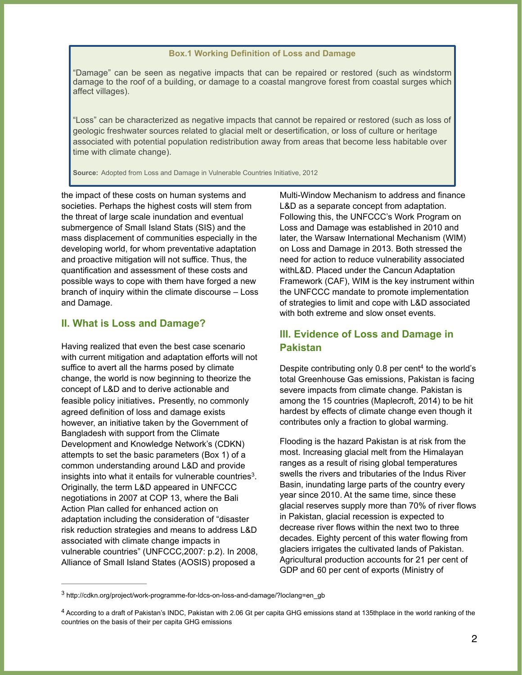#### **Box.1 Working Definition of Loss and Damage**

"Damage" can be seen as negative impacts that can be repaired or restored (such as windstorm damage to the roof of a building, or damage to a coastal mangrove forest from coastal surges which affect villages).

"Loss" can be characterized as negative impacts that cannot be repaired or restored (such as loss of geologic freshwater sources related to glacial melt or desertification, or loss of culture or heritage associated with potential population redistribution away from areas that become less habitable over time with climate change).

**Source:** Adopted from Loss and Damage in Vulnerable Countries Initiative, 2012

the impact of these costs on human systems and societies. Perhaps the highest costs will stem from the threat of large scale inundation and eventual submergence of Small Island Stats (SIS) and the mass displacement of communities especially in the developing world, for whom preventative adaptation and proactive mitigation will not suffice. Thus, the quantification and assessment of these costs and possible ways to cope with them have forged a new branch of inquiry within the climate discourse – Loss and Damage.

#### **II. What is Loss and Damage?**

Having realized that even the best case scenario with current mitigation and adaptation efforts will not suffice to avert all the harms posed by climate change, the world is now beginning to theorize the concept of L&D and to derive actionable and feasible policy initiatives. Presently, no commonly agreed definition of loss and damage exists however, an initiative taken by the Government of Bangladesh with support from the Climate Development and Knowledge Network's (CDKN) attempts to set the basic parameters (Box 1) of a common understanding around L&D and provide insights into what it entails for vulnerable countries $3$ . Originally, the term L&D appeared in UNFCCC negotiations in 2007 at COP 13, where the Bali Action Plan called for enhanced action on adaptation including the consideration of "disaster risk reduction strategies and means to address L&D associated with climate change impacts in vulnerable countries" (UNFCCC,2007: p.2). In 2008, Alliance of Small Island States (AOSIS) proposed a

Multi-Window Mechanism to address and finance L&D as a separate concept from adaptation. Following this, the UNFCCC's Work Program on Loss and Damage was established in 2010 and later, the Warsaw International Mechanism (WIM) on Loss and Damage in 2013. Both stressed the need for action to reduce vulnerability associated withL&D. Placed under the Cancun Adaptation Framework (CAF), WIM is the key instrument within the UNFCCC mandate to promote implementation of strategies to limit and cope with L&D associated with both extreme and slow onset events.

#### **III. Evidence of Loss and Damage in Pakistan**

Despite contributing only  $0.8$  per cent<sup>4</sup> to the world's total Greenhouse Gas emissions, Pakistan is facing severe impacts from climate change. Pakistan is among the 15 countries (Maplecroft, 2014) to be hit hardest by effects of climate change even though it contributes only a fraction to global warming.

Flooding is the hazard Pakistan is at risk from the most. Increasing glacial melt from the Himalayan ranges as a result of rising global temperatures swells the rivers and tributaries of the Indus River Basin, inundating large parts of the country every year since 2010. At the same time, since these glacial reserves supply more than 70% of river flows in Pakistan, glacial recession is expected to decrease river flows within the next two to three decades. Eighty percent of this water flowing from glaciers irrigates the cultivated lands of Pakistan. Agricultural production accounts for 21 per cent of GDP and 60 per cent of exports (Ministry of

http://cdkn.org/project/work-programme-for-ldcs-on-loss-and-damage/?loclang=en\_gb <sup>3</sup>

<sup>&</sup>lt;sup>4</sup> According to a draft of Pakistan's INDC, Pakistan with 2.06 Gt per capita GHG emissions stand at 135thplace in the world ranking of the countries on the basis of their per capita GHG emissions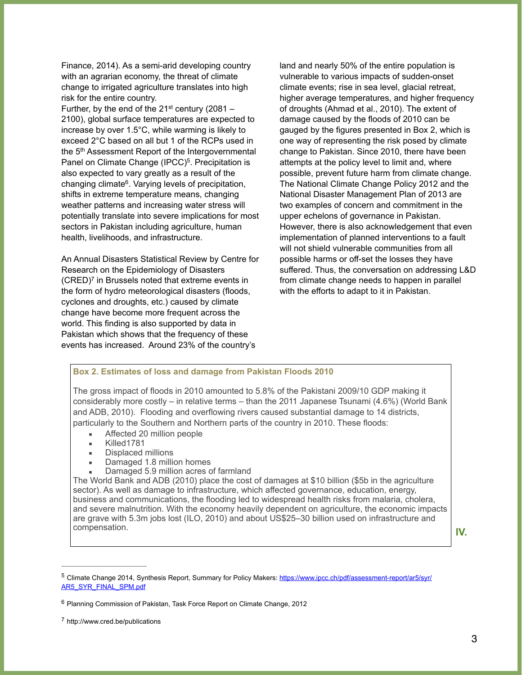Finance, 2014). As a semi-arid developing country with an agrarian economy, the threat of climate change to irrigated agriculture translates into high risk for the entire country.

Further, by the end of the  $21^{st}$  century (2081 – 2100), global surface temperatures are expected to increase by over 1.5°C, while warming is likely to exceed 2°C based on all but 1 of the RCPs used in the 5th Assessment Report of the Intergovernmental Panel on Climate Change (IPCC)<sup>5</sup>. Precipitation is also expected to vary greatly as a result of the changing climate<sup>6</sup>. Varying levels of precipitation, shifts in extreme temperature means, changing weather patterns and increasing water stress will potentially translate into severe implications for most sectors in Pakistan including agriculture, human health, livelihoods, and infrastructure.

An Annual Disasters Statistical Review by Centre for Research on the Epidemiology of Disasters  $(CRED)^7$  in Brussels noted that extreme events in the form of hydro meteorological disasters (floods, cyclones and droughts, etc.) caused by climate change have become more frequent across the world. This finding is also supported by data in Pakistan which shows that the frequency of these events has increased. Around 23% of the country's

land and nearly 50% of the entire population is vulnerable to various impacts of sudden-onset climate events; rise in sea level, glacial retreat, higher average temperatures, and higher frequency of droughts (Ahmad et al., 2010). The extent of damage caused by the floods of 2010 can be gauged by the figures presented in Box 2, which is one way of representing the risk posed by climate change to Pakistan. Since 2010, there have been attempts at the policy level to limit and, where possible, prevent future harm from climate change. The National Climate Change Policy 2012 and the National Disaster Management Plan of 2013 are two examples of concern and commitment in the upper echelons of governance in Pakistan. However, there is also acknowledgement that even implementation of planned interventions to a fault will not shield vulnerable communities from all possible harms or off-set the losses they have suffered. Thus, the conversation on addressing L&D from climate change needs to happen in parallel with the efforts to adapt to it in Pakistan.

#### **Box 2. Estimates of loss and damage from Pakistan Floods 2010**

The gross impact of floods in 2010 amounted to 5.8% of the Pakistani 2009/10 GDP making it considerably more costly – in relative terms – than the 2011 Japanese Tsunami (4.6%) (World Bank and ADB, 2010). Flooding and overflowing rivers caused substantial damage to 14 districts, particularly to the Southern and Northern parts of the country in 2010. These floods:

- Affected 20 million people
- Killed1781
- Displaced millions
- Damaged 1.8 million homes
- Damaged 5.9 million acres of farmland

The World Bank and ADB (2010) place the cost of damages at \$10 billion (\$5b in the agriculture sector). As well as damage to infrastructure, which affected governance, education, energy, business and communications, the flooding led to widespread health risks from malaria, cholera, and severe malnutrition. With the economy heavily dependent on agriculture, the economic impacts are grave with 5.3m jobs lost (ILO, 2010) and about US\$25–30 billion used on infrastructure and compensation.

**IV.** 

<sup>&</sup>lt;sup>5</sup> Climate Change 2014, Synthesis Report, Summary for Policy Makers: https://www.jpcc.ch/pdf/assessment-report/ar5/syr/ AR5\_SYR\_FINAL\_SPM.pdf

 $6$  Planning Commission of Pakistan, Task Force Report on Climate Change, 2012

http://www.cred.be/publications <sup>7</sup>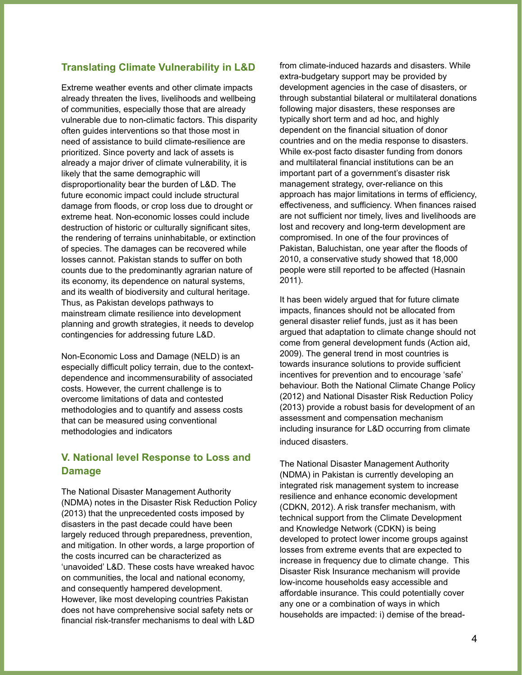#### **Translating Climate Vulnerability in L&D**

Extreme weather events and other climate impacts already threaten the lives, livelihoods and wellbeing of communities, especially those that are already vulnerable due to non-climatic factors. This disparity often guides interventions so that those most in need of assistance to build climate-resilience are prioritized. Since poverty and lack of assets is already a major driver of climate vulnerability, it is likely that the same demographic will disproportionality bear the burden of L&D. The future economic impact could include structural damage from floods, or crop loss due to drought or extreme heat. Non-economic losses could include destruction of historic or culturally significant sites, the rendering of terrains uninhabitable, or extinction of species. The damages can be recovered while losses cannot. Pakistan stands to suffer on both counts due to the predominantly agrarian nature of its economy, its dependence on natural systems, and its wealth of biodiversity and cultural heritage. Thus, as Pakistan develops pathways to mainstream climate resilience into development planning and growth strategies, it needs to develop contingencies for addressing future L&D.

Non-Economic Loss and Damage (NELD) is an especially difficult policy terrain, due to the contextdependence and incommensurability of associated costs. However, the current challenge is to overcome limitations of data and contested methodologies and to quantify and assess costs that can be measured using conventional methodologies and indicators

## **V. National level Response to Loss and Damage**

The National Disaster Management Authority (NDMA) notes in the Disaster Risk Reduction Policy (2013) that the unprecedented costs imposed by disasters in the past decade could have been largely reduced through preparedness, prevention, and mitigation. In other words, a large proportion of the costs incurred can be characterized as 'unavoided' L&D. These costs have wreaked havoc on communities, the local and national economy, and consequently hampered development. However, like most developing countries Pakistan does not have comprehensive social safety nets or financial risk-transfer mechanisms to deal with L&D

from climate-induced hazards and disasters. While extra-budgetary support may be provided by development agencies in the case of disasters, or through substantial bilateral or multilateral donations following major disasters, these responses are typically short term and ad hoc, and highly dependent on the financial situation of donor countries and on the media response to disasters. While ex-post facto disaster funding from donors and multilateral financial institutions can be an important part of a government's disaster risk management strategy, over-reliance on this approach has major limitations in terms of efficiency, effectiveness, and sufficiency. When finances raised are not sufficient nor timely, lives and livelihoods are lost and recovery and long-term development are compromised. In one of the four provinces of Pakistan, Baluchistan, one year after the floods of 2010, a conservative study showed that 18,000 people were still reported to be affected (Hasnain 2011).

It has been widely argued that for future climate impacts, finances should not be allocated from general disaster relief funds, just as it has been argued that adaptation to climate change should not come from general development funds (Action aid, 2009). The general trend in most countries is towards insurance solutions to provide sufficient incentives for prevention and to encourage 'safe' behaviour. Both the National Climate Change Policy (2012) and National Disaster Risk Reduction Policy (2013) provide a robust basis for development of an assessment and compensation mechanism including insurance for L&D occurring from climate induced disasters.

The National Disaster Management Authority (NDMA) in Pakistan is currently developing an integrated risk management system to increase resilience and enhance economic development (CDKN, 2012). A risk transfer mechanism, with technical support from the Climate Development and Knowledge Network (CDKN) is being developed to protect lower income groups against losses from extreme events that are expected to increase in frequency due to climate change. This Disaster Risk Insurance mechanism will provide low-income households easy accessible and affordable insurance. This could potentially cover any one or a combination of ways in which households are impacted: i) demise of the bread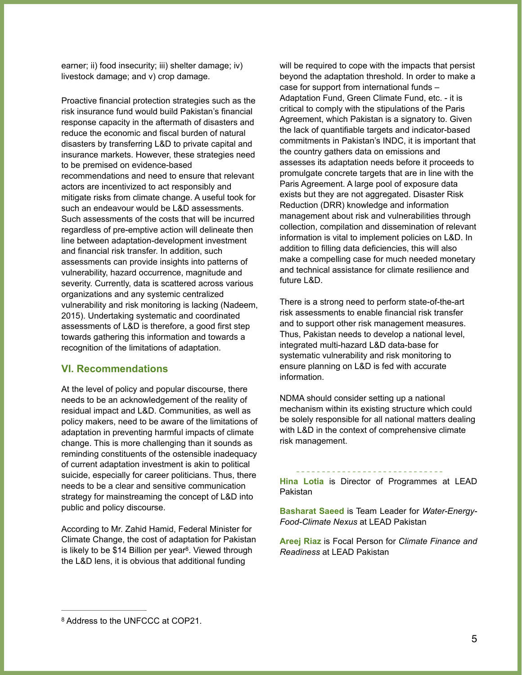earner; ii) food insecurity; iii) shelter damage; iv) livestock damage; and v) crop damage.

Proactive financial protection strategies such as the risk insurance fund would build Pakistan's financial response capacity in the aftermath of disasters and reduce the economic and fiscal burden of natural disasters by transferring L&D to private capital and insurance markets. However, these strategies need to be premised on evidence-based recommendations and need to ensure that relevant actors are incentivized to act responsibly and mitigate risks from climate change. A useful took for such an endeavour would be L&D assessments. Such assessments of the costs that will be incurred regardless of pre-emptive action will delineate then line between adaptation-development investment and financial risk transfer. In addition, such assessments can provide insights into patterns of vulnerability, hazard occurrence, magnitude and severity. Currently, data is scattered across various organizations and any systemic centralized vulnerability and risk monitoring is lacking (Nadeem, 2015). Undertaking systematic and coordinated assessments of L&D is therefore, a good first step towards gathering this information and towards a recognition of the limitations of adaptation.

#### **VI. Recommendations**

At the level of policy and popular discourse, there needs to be an acknowledgement of the reality of residual impact and L&D. Communities, as well as policy makers, need to be aware of the limitations of adaptation in preventing harmful impacts of climate change. This is more challenging than it sounds as reminding constituents of the ostensible inadequacy of current adaptation investment is akin to political suicide, especially for career politicians. Thus, there needs to be a clear and sensitive communication strategy for mainstreaming the concept of L&D into public and policy discourse.

According to Mr. Zahid Hamid, Federal Minister for Climate Change, the cost of adaptation for Pakistan is likely to be \$14 Billion per year $8$ . Viewed through the L&D lens, it is obvious that additional funding

will be required to cope with the impacts that persist beyond the adaptation threshold. In order to make a case for support from international funds – Adaptation Fund, Green Climate Fund, etc. - it is critical to comply with the stipulations of the Paris Agreement, which Pakistan is a signatory to. Given the lack of quantifiable targets and indicator-based commitments in Pakistan's INDC, it is important that the country gathers data on emissions and assesses its adaptation needs before it proceeds to promulgate concrete targets that are in line with the Paris Agreement. A large pool of exposure data exists but they are not aggregated. Disaster Risk Reduction (DRR) knowledge and information management about risk and vulnerabilities through collection, compilation and dissemination of relevant information is vital to implement policies on L&D. In addition to filling data deficiencies, this will also make a compelling case for much needed monetary and technical assistance for climate resilience and future L&D.

There is a strong need to perform state-of-the-art risk assessments to enable financial risk transfer and to support other risk management measures. Thus, Pakistan needs to develop a national level, integrated multi-hazard L&D data-base for systematic vulnerability and risk monitoring to ensure planning on L&D is fed with accurate information.

NDMA should consider setting up a national mechanism within its existing structure which could be solely responsible for all national matters dealing with L&D in the context of comprehensive climate risk management.

**Hina Lotia** is Director of Programmes at LEAD Pakistan

**Basharat Saeed** is Team Leader for *Water-Energy-Food-Climate Nexus* at LEAD Pakistan

**Areej Riaz** is Focal Person for *Climate Finance and Readiness* at LEAD Pakistan

<sup>&</sup>lt;sup>8</sup> Address to the UNFCCC at COP21.